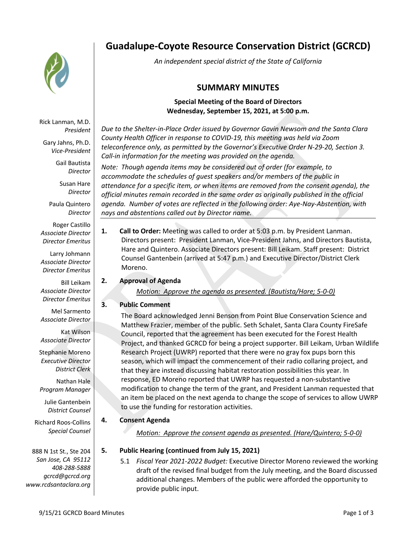

**Guadalupe-Coyote Resource Conservation District (GCRCD)**

*An independent special district of the State of California*

# **SUMMARY MINUTES**

# **Special Meeting of the Board of Directors Wednesday, September 15, 2021, at 5:00 p.m.**

*Due to the Shelter-in-Place Order issued by Governor Gavin Newsom and the Santa Clara County Health Officer in response to COVID-19, this meeting was held via Zoom teleconference only, as permitted by the Governor's Executive Order N-29-20, Section 3. Call-in information for the meeting was provided on the agenda.*

*Note: Though agenda items may be considered out of order (for example, to accommodate the schedules of guest speakers and/or members of the public in attendance for a specific item, or when items are removed from the consent agenda), the official minutes remain recorded in the same order as originally published in the official agenda. Number of votes are reflected in the following order: Aye-Nay-Abstention, with nays and abstentions called out by Director name.*

**1. Call to Order:** Meeting was called to order at 5:03 p.m. by President Lanman. Directors present: President Lanman, Vice-President Jahns, and Directors Bautista, Hare and Quintero. Associate Directors present: Bill Leikam. Staff present: District Counsel Gantenbein (arrived at 5:47 p.m.) and Executive Director/District Clerk Moreno.

## **2. Approval of Agenda**

*Motion: Approve the agenda as presented. (Bautista/Hare; 5-0-0)*

# **3. Public Comment**

The Board acknowledged Jenni Benson from Point Blue Conservation Science and Matthew Frazier, member of the public. Seth Schalet, Santa Clara County FireSafe Council, reported that the agreement has been executed for the Forest Health Project, and thanked GCRCD for being a project supporter. Bill Leikam, Urban Wildlife Research Project (UWRP) reported that there were no gray fox pups born this season, which will impact the commencement of their radio collaring project, and that they are instead discussing habitat restoration possibilities this year. In response, ED Moreno reported that UWRP has requested a non-substantive modification to change the term of the grant, and President Lanman requested that an item be placed on the next agenda to change the scope of services to allow UWRP to use the funding for restoration activities.

# **4. Consent Agenda**

*Motion: Approve the consent agenda as presented. (Hare/Quintero; 5-0-0)*

## **5. Public Hearing (continued from July 15, 2021)**

5.1 *Fiscal Year 2021-2022 Budget:* Executive Director Moreno reviewed the working draft of the revised final budget from the July meeting, and the Board discussed additional changes. Members of the public were afforded the opportunity to provide public input.

Rick Lanman, M.D. *President*

Gary Jahns, Ph.D. *Vice-President*

> Gail Bautista *Director*

Susan Hare *Director*

Paula Quintero *Director*

Roger Castillo *Associate Director Director Emeritus*

Larry Johmann *Associate Director Director Emeritus*

Bill Leikam *Associate Director Director Emeritus*

Mel Sarmento *Associate Director*

Kat Wilson *Associate Director*

Stephanie Moreno *Executive Director District Clerk*

Nathan Hale *Program Manager*

Julie Gantenbein *District Counsel*

Richard Roos-Collins *Special Counsel*

888 N 1st St., Ste 204 *San Jose, CA 95112 408-288-5888 gcrcd@gcrcd.org www.rcdsantaclara.org*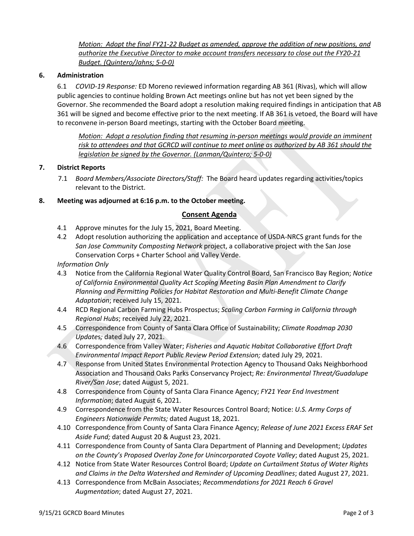*Motion: Adopt the final FY21-22 Budget as amended, approve the addition of new positions, and authorize the Executive Director to make account transfers necessary to close out the FY20-21 Budget. (Quintero/Jahns; 5-0-0)*

## **6. Administration**

6.1 *COVID-19 Response:* ED Moreno reviewed information regarding AB 361 (Rivas), which will allow public agencies to continue holding Brown Act meetings online but has not yet been signed by the Governor. She recommended the Board adopt a resolution making required findings in anticipation that AB 361 will be signed and become effective prior to the next meeting. If AB 361 is vetoed, the Board will have to reconvene in-person Board meetings, starting with the October Board meeting.

*Motion: Adopt a resolution finding that resuming in-person meetings would provide an imminent risk to attendees and that GCRCD will continue to meet online as authorized by AB 361 should the legislation be signed by the Governor. (Lanman/Quintero; 5-0-0)*

## **7. District Reports**

7.1 *Board Members/Associate Directors/Staff:* The Board heard updates regarding activities/topics relevant to the District.

#### **8. Meeting was adjourned at 6:16 p.m. to the October meeting.**

#### **Consent Agenda**

- 4.1 Approve minutes for the July 15, 2021, Board Meeting.
- 4.2 Adopt resolution authorizing the application and acceptance of USDA-NRCS grant funds for the *San Jose Community Composting Network* project, a collaborative project with the San Jose Conservation Corps + Charter School and Valley Verde.

*Information Only*

- 4.3 Notice from the California Regional Water Quality Control Board, San Francisco Bay Region; *Notice of California Environmental Quality Act Scoping Meeting Basin Plan Amendment to Clarify Planning and Permitting Policies for Habitat Restoration and Multi-Benefit Climate Change Adaptation*; received July 15, 2021.
- 4.4 RCD Regional Carbon Farming Hubs Prospectus; *Scaling Carbon Farming in California through Regional Hubs*; received July 22, 2021.
- 4.5 Correspondence from County of Santa Clara Office of Sustainability; *Climate Roadmap 2030 Update*s*;* dated July 27, 2021.
- 4.6 Correspondence from Valley Water; *Fisheries and Aquatic Habitat Collaborative Effort Draft Environmental Impact Report Public Review Period Extension;* dated July 29, 2021.
- 4.7 Response from United States Environmental Protection Agency to Thousand Oaks Neighborhood Association and Thousand Oaks Parks Conservancy Project; *Re: Environmental Threat/Guadalupe River/San Jose*; dated August 5, 2021.
- 4.8 Correspondence from County of Santa Clara Finance Agency; *FY21 Year End Investment Information*; dated August 6, 2021.
- 4.9 Correspondence from the State Water Resources Control Board; Notice: *U.S. Army Corps of Engineers Nationwide Permits;* dated August 18, 2021.
- 4.10 Correspondence from County of Santa Clara Finance Agency; *Release of June 2021 Excess ERAF Set Aside Fund;* dated August 20 & August 23, 2021.
- 4.11 Correspondence from County of Santa Clara Department of Planning and Development; *Updates on the County's Proposed Overlay Zone for Unincorporated Coyote Valley*; dated August 25, 2021.
- 4.12 Notice from State Water Resources Control Board; *Update on Curtailment Status of Water Rights and Claims in the Delta Watershed and Reminder of Upcoming Deadlines*; dated August 27, 2021.
- 4.13 Correspondence from McBain Associates; *Recommendations for 2021 Reach 6 Gravel Augmentation*; dated August 27, 2021.